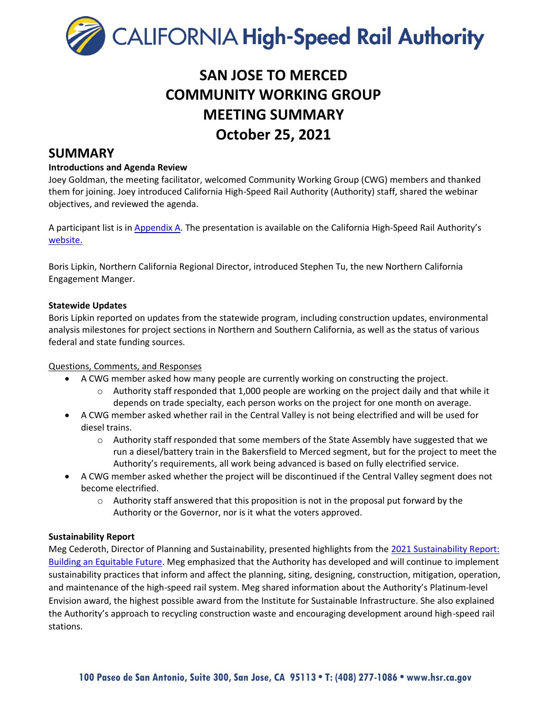

# **SAN JOSE TO MERCED COMMUNITY WORKING GROUP MEETING SUMMARY October 25, 2021**

### **SUMMARY**

#### **Introductions and Agenda Review**

Joey Goldman, the meeting facilitator, welcomed Community Working Group (CWG) members and thanked them for joining. Joey introduced California High-Speed Rail Authority (Authority) staff, shared the webinar objectives, and reviewed the agenda.

A participant list is in Appendix A. The presentation is available on the California High-Speed Rail Authority'[s](https://hsr.ca.gov/high-speed-rail-in-california/project-sections/san-jose-to-merced/) [website.](https://hsr.ca.gov/high-speed-rail-in-california/project-sections/san-jose-to-merced/) 

Boris Lipkin, Northern California Regional Director, introduced Stephen Tu, the new Northern California Engagement Manger.

#### **Statewide Updates**

Boris Lipkin reported on updates from the statewide program, including construction updates, environmental analysis milestones for project sections in Northern and Southern California, as well as the status of various federal and state funding sources.

#### Questions, Comments, and Responses

- A CWG member asked how many people are currently working on constructing the project.
	- $\circ$  Authority staff responded that 1,000 people are working on the project daily and that while it depends on trade specialty, each person works on the project for one month on average.
- A CWG member asked whether rail in the Central Valley is not being electrified and will be used for diesel trains.
	- o Authority staff responded that some members of the State Assembly have suggested that we run a diesel/battery train in the Bakersfield to Merced segment, but for the project to meet the Authority's requirements, all work being advanced is based on fully electrified service.
- A CWG member asked whether the project will be discontinued if the Central Valley segment does not become electrified.
	- $\circ$  Authority staff answered that this proposition is not in the proposal put forward by the Authority or the Governor, nor is it what the voters approved.

#### **Sustainability Report**

Meg Cederoth, Director of Planning and Sustainability, presented highlights from the [2021 Sustainability Report:](https://hsr.ca.gov/programs/green-practices-sustainability/sustainability/)  [Building an Equitable Future.](https://hsr.ca.gov/programs/green-practices-sustainability/sustainability/) Meg emphasized that the Authority has developed and will continue to implement sustainability practices that inform and affect the planning, siting, designing, construction, mitigation, operation, and maintenance of the high-speed rail system. Meg shared information about the Authority's Platinum-level Envision award, the highest possible award from the Institute for Sustainable Infrastructure. She also explained the Authority's approach to recycling construction waste and encouraging development around high-speed rail stations.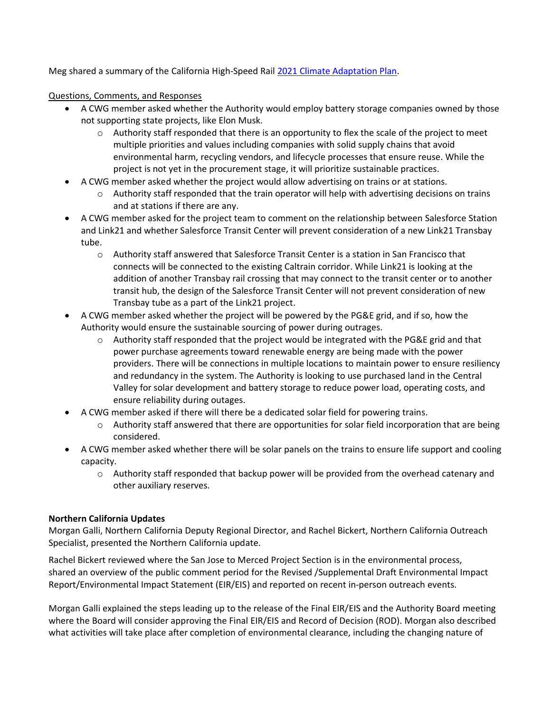Meg shared a summary of the California High-Speed Rail [2021 Climate Adaptation Plan.](https://hsr.ca.gov/wp-content/uploads/2021/05/CHSR-Climate-Adaptation-Plan_ExecutiveSummary_FINAL-ADA_5-21-21.pdf)

Questions, Comments, and Responses

- A CWG member asked whether the Authority would employ battery storage companies owned by those not supporting state projects, like Elon Musk.
	- $\circ$  Authority staff responded that there is an opportunity to flex the scale of the project to meet multiple priorities and values including companies with solid supply chains that avoid environmental harm, recycling vendors, and lifecycle processes that ensure reuse. While the project is not yet in the procurement stage, it will prioritize sustainable practices.
- A CWG member asked whether the project would allow advertising on trains or at stations.
	- $\circ$  Authority staff responded that the train operator will help with advertising decisions on trains and at stations if there are any.
- A CWG member asked for the project team to comment on the relationship between Salesforce Station and Link21 and whether Salesforce Transit Center will prevent consideration of a new Link21 Transbay tube.
	- o Authority staff answered that Salesforce Transit Center is a station in San Francisco that connects will be connected to the existing Caltrain corridor. While Link21 is looking at the addition of another Transbay rail crossing that may connect to the transit center or to another transit hub, the design of the Salesforce Transit Center will not prevent consideration of new Transbay tube as a part of the Link21 project.
- A CWG member asked whether the project will be powered by the PG&E grid, and if so, how the Authority would ensure the sustainable sourcing of power during outrages.
	- $\circ$  Authority staff responded that the project would be integrated with the PG&E grid and that power purchase agreements toward renewable energy are being made with the power providers. There will be connections in multiple locations to maintain power to ensure resiliency and redundancy in the system. The Authority is looking to use purchased land in the Central Valley for solar development and battery storage to reduce power load, operating costs, and ensure reliability during outages.
- A CWG member asked if there will there be a dedicated solar field for powering trains.
	- $\circ$  Authority staff answered that there are opportunities for solar field incorporation that are being considered.
- A CWG member asked whether there will be solar panels on the trains to ensure life support and cooling capacity.
	- o Authority staff responded that backup power will be provided from the overhead catenary and other auxiliary reserves.

#### **Northern California Updates**

Morgan Galli, Northern California Deputy Regional Director, and Rachel Bickert, Northern California Outreach Specialist, presented the Northern California update.

Rachel Bickert reviewed where the San Jose to Merced Project Section is in the environmental process, shared an overview of the public comment period for the Revised /Supplemental Draft Environmental Impact Report/Environmental Impact Statement (EIR/EIS) and reported on recent in-person outreach events.

Morgan Galli explained the steps leading up to the release of the Final EIR/EIS and the Authority Board meeting where the Board will consider approving the Final EIR/EIS and Record of Decision (ROD). Morgan also described what activities will take place after completion of environmental clearance, including the changing nature of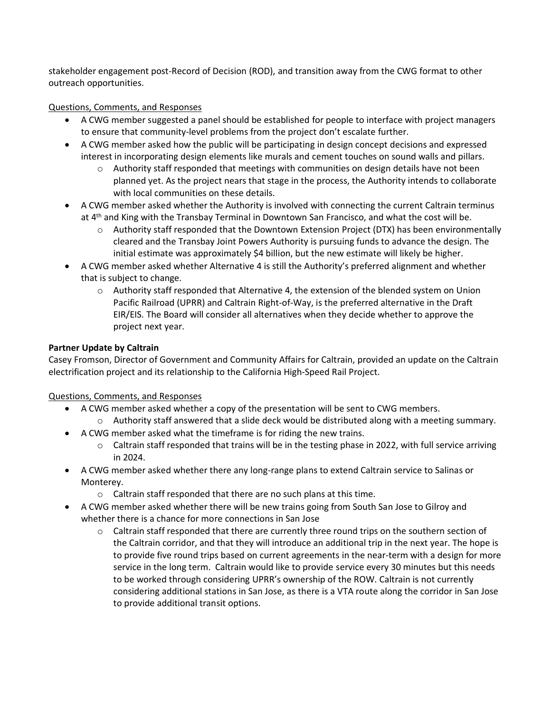stakeholder engagement post-Record of Decision (ROD), and transition away from the CWG format to other outreach opportunities.

#### Questions, Comments, and Responses

- A CWG member suggested a panel should be established for people to interface with project managers to ensure that community-level problems from the project don't escalate further.
- A CWG member asked how the public will be participating in design concept decisions and expressed interest in incorporating design elements like murals and cement touches on sound walls and pillars.
	- $\circ$  Authority staff responded that meetings with communities on design details have not been planned yet. As the project nears that stage in the process, the Authority intends to collaborate with local communities on these details.
- A CWG member asked whether the Authority is involved with connecting the current Caltrain terminus at 4<sup>th</sup> and King with the Transbay Terminal in Downtown San Francisco, and what the cost will be.
	- $\circ$  Authority staff responded that the Downtown Extension Project (DTX) has been environmentally cleared and the Transbay Joint Powers Authority is pursuing funds to advance the design. The initial estimate was approximately \$4 billion, but the new estimate will likely be higher.
- A CWG member asked whether Alternative 4 is still the Authority's preferred alignment and whether that is subject to change.
	- $\circ$  Authority staff responded that Alternative 4, the extension of the blended system on Union Pacific Railroad (UPRR) and Caltrain Right-of-Way, is the preferred alternative in the Draft EIR/EIS. The Board will consider all alternatives when they decide whether to approve the project next year.

#### **Partner Update by Caltrain**

Casey Fromson, Director of Government and Community Affairs for Caltrain, provided an update on the Caltrain electrification project and its relationship to the California High-Speed Rail Project.

Questions, Comments, and Responses

- A CWG member asked whether a copy of the presentation will be sent to CWG members.
	- $\circ$  Authority staff answered that a slide deck would be distributed along with a meeting summary.
- A CWG member asked what the timeframe is for riding the new trains.
	- o Caltrain staff responded that trains will be in the testing phase in 2022, with full service arriving in 2024.
- A CWG member asked whether there any long-range plans to extend Caltrain service to Salinas or Monterey.
	- o Caltrain staff responded that there are no such plans at this time.
- A CWG member asked whether there will be new trains going from South San Jose to Gilroy and whether there is a chance for more connections in San Jose
	- $\circ$  Caltrain staff responded that there are currently three round trips on the southern section of the Caltrain corridor, and that they will introduce an additional trip in the next year. The hope is to provide five round trips based on current agreements in the near-term with a design for more service in the long term. Caltrain would like to provide service every 30 minutes but this needs to be worked through considering UPRR's ownership of the ROW. Caltrain is not currently considering additional stations in San Jose, as there is a VTA route along the corridor in San Jose to provide additional transit options.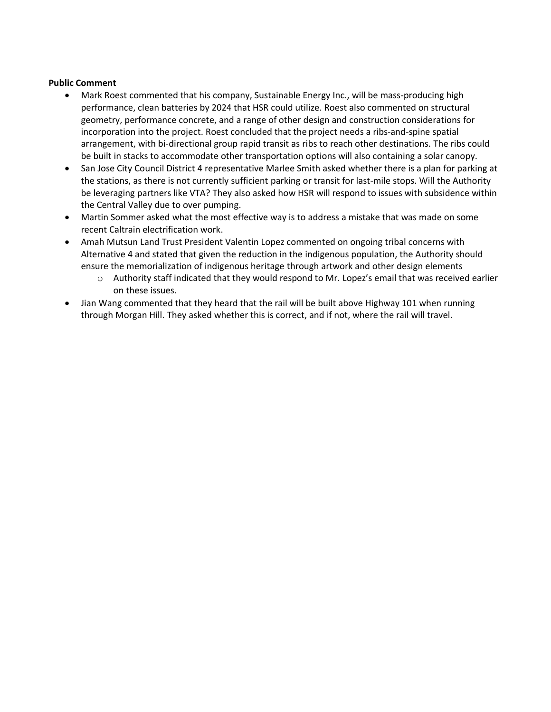#### **Public Comment**

- Mark Roest commented that his company, Sustainable Energy Inc., will be mass-producing high performance, clean batteries by 2024 that HSR could utilize. Roest also commented on structural geometry, performance concrete, and a range of other design and construction considerations for incorporation into the project. Roest concluded that the project needs a ribs-and-spine spatial arrangement, with bi-directional group rapid transit as ribs to reach other destinations. The ribs could be built in stacks to accommodate other transportation options will also containing a solar canopy.
- San Jose City Council District 4 representative Marlee Smith asked whether there is a plan for parking at the stations, as there is not currently sufficient parking or transit for last-mile stops. Will the Authority be leveraging partners like VTA? They also asked how HSR will respond to issues with subsidence within the Central Valley due to over pumping.
- Martin Sommer asked what the most effective way is to address a mistake that was made on some recent Caltrain electrification work.
- Amah Mutsun Land Trust President Valentin Lopez commented on ongoing tribal concerns with Alternative 4 and stated that given the reduction in the indigenous population, the Authority should ensure the memorialization of indigenous heritage through artwork and other design elements
	- $\circ$  Authority staff indicated that they would respond to Mr. Lopez's email that was received earlier on these issues.
- Jian Wang commented that they heard that the rail will be built above Highway 101 when running through Morgan Hill. They asked whether this is correct, and if not, where the rail will travel.